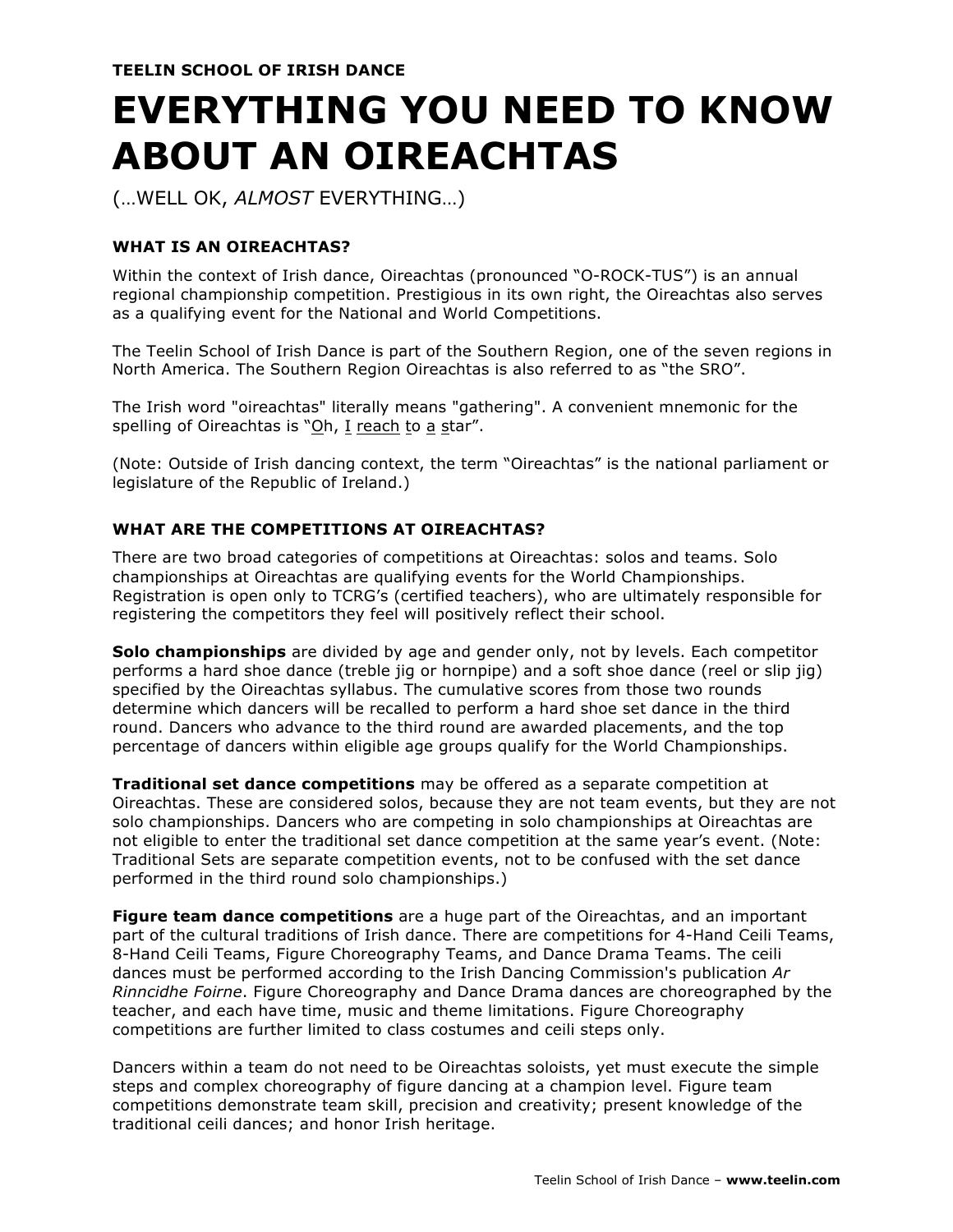# **EVERYTHING YOU NEED TO KNOW ABOUT AN OIREACHTAS**

(…WELL OK, *ALMOST* EVERYTHING…)

## **WHAT IS AN OIREACHTAS?**

Within the context of Irish dance, Oireachtas (pronounced "O-ROCK-TUS") is an annual regional championship competition. Prestigious in its own right, the Oireachtas also serves as a qualifying event for the National and World Competitions.

The Teelin School of Irish Dance is part of the Southern Region, one of the seven regions in North America. The Southern Region Oireachtas is also referred to as "the SRO".

The Irish word "oireachtas" literally means "gathering". A convenient mnemonic for the spelling of Oireachtas is "Oh, I reach to a star".

(Note: Outside of Irish dancing context, the term "Oireachtas" is the national parliament or legislature of the Republic of Ireland.)

## **WHAT ARE THE COMPETITIONS AT OIREACHTAS?**

There are two broad categories of competitions at Oireachtas: solos and teams. Solo championships at Oireachtas are qualifying events for the World Championships. Registration is open only to TCRG's (certified teachers), who are ultimately responsible for registering the competitors they feel will positively reflect their school.

**Solo championships** are divided by age and gender only, not by levels. Each competitor performs a hard shoe dance (treble jig or hornpipe) and a soft shoe dance (reel or slip jig) specified by the Oireachtas syllabus. The cumulative scores from those two rounds determine which dancers will be recalled to perform a hard shoe set dance in the third round. Dancers who advance to the third round are awarded placements, and the top percentage of dancers within eligible age groups qualify for the World Championships.

**Traditional set dance competitions** may be offered as a separate competition at Oireachtas. These are considered solos, because they are not team events, but they are not solo championships. Dancers who are competing in solo championships at Oireachtas are not eligible to enter the traditional set dance competition at the same year's event. (Note: Traditional Sets are separate competition events, not to be confused with the set dance performed in the third round solo championships.)

**Figure team dance competitions** are a huge part of the Oireachtas, and an important part of the cultural traditions of Irish dance. There are competitions for 4-Hand Ceili Teams, 8-Hand Ceili Teams, Figure Choreography Teams, and Dance Drama Teams. The ceili dances must be performed according to the Irish Dancing Commission's publication *Ar Rinncidhe Foirne*. Figure Choreography and Dance Drama dances are choreographed by the teacher, and each have time, music and theme limitations. Figure Choreography competitions are further limited to class costumes and ceili steps only.

Dancers within a team do not need to be Oireachtas soloists, yet must execute the simple steps and complex choreography of figure dancing at a champion level. Figure team competitions demonstrate team skill, precision and creativity; present knowledge of the traditional ceili dances; and honor Irish heritage.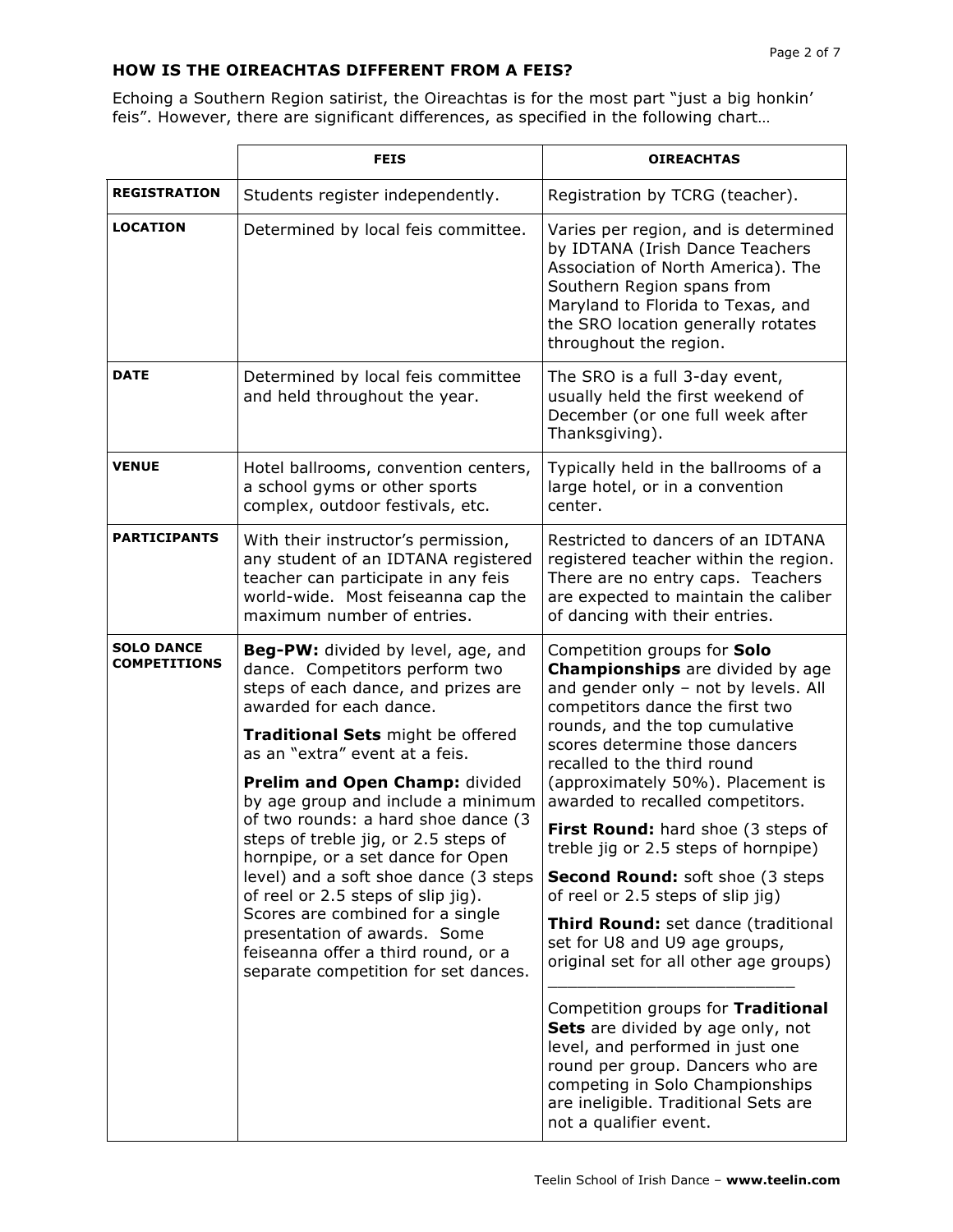## **HOW IS THE OIREACHTAS DIFFERENT FROM A FEIS?**

Echoing a Southern Region satirist, the Oireachtas is for the most part "just a big honkin' feis". However, there are significant differences, as specified in the following chart…

|                                          | <b>FEIS</b>                                                                                                                                                                                                                                                                                                                                                                                                                                                                                                                                                                                                                                        | <b>OIREACHTAS</b>                                                                                                                                                                                                                                                                                                                                                                                                                                                                                                                                                                                                                                                                                                                                                                                                                                                      |
|------------------------------------------|----------------------------------------------------------------------------------------------------------------------------------------------------------------------------------------------------------------------------------------------------------------------------------------------------------------------------------------------------------------------------------------------------------------------------------------------------------------------------------------------------------------------------------------------------------------------------------------------------------------------------------------------------|------------------------------------------------------------------------------------------------------------------------------------------------------------------------------------------------------------------------------------------------------------------------------------------------------------------------------------------------------------------------------------------------------------------------------------------------------------------------------------------------------------------------------------------------------------------------------------------------------------------------------------------------------------------------------------------------------------------------------------------------------------------------------------------------------------------------------------------------------------------------|
| <b>REGISTRATION</b>                      | Students register independently.                                                                                                                                                                                                                                                                                                                                                                                                                                                                                                                                                                                                                   | Registration by TCRG (teacher).                                                                                                                                                                                                                                                                                                                                                                                                                                                                                                                                                                                                                                                                                                                                                                                                                                        |
| <b>LOCATION</b>                          | Determined by local feis committee.                                                                                                                                                                                                                                                                                                                                                                                                                                                                                                                                                                                                                | Varies per region, and is determined<br>by IDTANA (Irish Dance Teachers<br>Association of North America). The<br>Southern Region spans from<br>Maryland to Florida to Texas, and<br>the SRO location generally rotates<br>throughout the region.                                                                                                                                                                                                                                                                                                                                                                                                                                                                                                                                                                                                                       |
| <b>DATE</b>                              | Determined by local feis committee<br>and held throughout the year.                                                                                                                                                                                                                                                                                                                                                                                                                                                                                                                                                                                | The SRO is a full 3-day event,<br>usually held the first weekend of<br>December (or one full week after<br>Thanksgiving).                                                                                                                                                                                                                                                                                                                                                                                                                                                                                                                                                                                                                                                                                                                                              |
| <b>VENUE</b>                             | Hotel ballrooms, convention centers,<br>a school gyms or other sports<br>complex, outdoor festivals, etc.                                                                                                                                                                                                                                                                                                                                                                                                                                                                                                                                          | Typically held in the ballrooms of a<br>large hotel, or in a convention<br>center.                                                                                                                                                                                                                                                                                                                                                                                                                                                                                                                                                                                                                                                                                                                                                                                     |
| <b>PARTICIPANTS</b>                      | With their instructor's permission,<br>any student of an IDTANA registered<br>teacher can participate in any feis<br>world-wide. Most feiseanna cap the<br>maximum number of entries.                                                                                                                                                                                                                                                                                                                                                                                                                                                              | Restricted to dancers of an IDTANA<br>registered teacher within the region.<br>There are no entry caps. Teachers<br>are expected to maintain the caliber<br>of dancing with their entries.                                                                                                                                                                                                                                                                                                                                                                                                                                                                                                                                                                                                                                                                             |
| <b>SOLO DANCE</b><br><b>COMPETITIONS</b> | <b>Beg-PW:</b> divided by level, age, and<br>dance. Competitors perform two<br>steps of each dance, and prizes are<br>awarded for each dance.<br>Traditional Sets might be offered<br>as an "extra" event at a feis.<br>Prelim and Open Champ: divided<br>by age group and include a minimum<br>of two rounds: a hard shoe dance (3<br>steps of treble jig, or 2.5 steps of<br>hornpipe, or a set dance for Open<br>level) and a soft shoe dance (3 steps<br>of reel or 2.5 steps of slip jig).<br>Scores are combined for a single<br>presentation of awards. Some<br>feiseanna offer a third round, or a<br>separate competition for set dances. | Competition groups for Solo<br><b>Championships</b> are divided by age<br>and gender only - not by levels. All<br>competitors dance the first two<br>rounds, and the top cumulative<br>scores determine those dancers<br>recalled to the third round<br>(approximately 50%). Placement is<br>awarded to recalled competitors.<br>First Round: hard shoe (3 steps of<br>treble jig or 2.5 steps of hornpipe)<br><b>Second Round: soft shoe (3 steps)</b><br>of reel or 2.5 steps of slip jig)<br>Third Round: set dance (traditional<br>set for U8 and U9 age groups,<br>original set for all other age groups)<br>Competition groups for Traditional<br>Sets are divided by age only, not<br>level, and performed in just one<br>round per group. Dancers who are<br>competing in Solo Championships<br>are ineligible. Traditional Sets are<br>not a qualifier event. |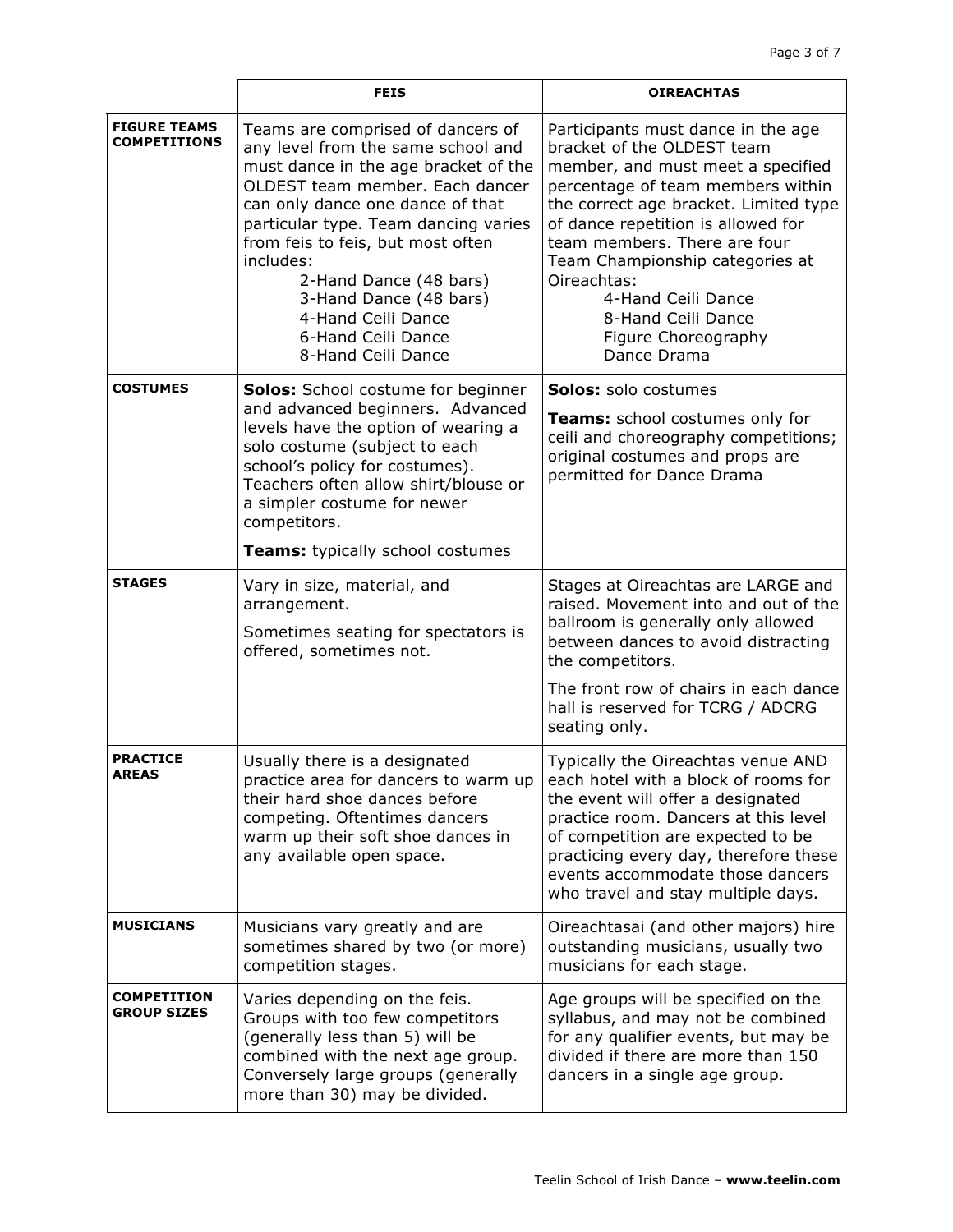|                                            | <b>FEIS</b>                                                                                                                                                                                                                                                                                                                                                                                            | <b>OIREACHTAS</b>                                                                                                                                                                                                                                                                                                                                                                             |
|--------------------------------------------|--------------------------------------------------------------------------------------------------------------------------------------------------------------------------------------------------------------------------------------------------------------------------------------------------------------------------------------------------------------------------------------------------------|-----------------------------------------------------------------------------------------------------------------------------------------------------------------------------------------------------------------------------------------------------------------------------------------------------------------------------------------------------------------------------------------------|
| <b>FIGURE TEAMS</b><br><b>COMPETITIONS</b> | Teams are comprised of dancers of<br>any level from the same school and<br>must dance in the age bracket of the<br>OLDEST team member. Each dancer<br>can only dance one dance of that<br>particular type. Team dancing varies<br>from feis to feis, but most often<br>includes:<br>2-Hand Dance (48 bars)<br>3-Hand Dance (48 bars)<br>4-Hand Ceili Dance<br>6-Hand Ceili Dance<br>8-Hand Ceili Dance | Participants must dance in the age<br>bracket of the OLDEST team<br>member, and must meet a specified<br>percentage of team members within<br>the correct age bracket. Limited type<br>of dance repetition is allowed for<br>team members. There are four<br>Team Championship categories at<br>Oireachtas:<br>4-Hand Ceili Dance<br>8-Hand Ceili Dance<br>Figure Choreography<br>Dance Drama |
| <b>COSTUMES</b>                            | <b>Solos:</b> School costume for beginner<br>and advanced beginners. Advanced<br>levels have the option of wearing a<br>solo costume (subject to each<br>school's policy for costumes).<br>Teachers often allow shirt/blouse or<br>a simpler costume for newer<br>competitors.<br>Teams: typically school costumes                                                                                     | <b>Solos:</b> solo costumes<br>Teams: school costumes only for<br>ceili and choreography competitions;<br>original costumes and props are<br>permitted for Dance Drama                                                                                                                                                                                                                        |
| <b>STAGES</b>                              |                                                                                                                                                                                                                                                                                                                                                                                                        |                                                                                                                                                                                                                                                                                                                                                                                               |
|                                            | Vary in size, material, and<br>arrangement.<br>Sometimes seating for spectators is<br>offered, sometimes not.                                                                                                                                                                                                                                                                                          | Stages at Oireachtas are LARGE and<br>raised. Movement into and out of the<br>ballroom is generally only allowed<br>between dances to avoid distracting<br>the competitors.<br>The front row of chairs in each dance                                                                                                                                                                          |
|                                            |                                                                                                                                                                                                                                                                                                                                                                                                        | hall is reserved for TCRG / ADCRG<br>seating only.                                                                                                                                                                                                                                                                                                                                            |
| <b>PRACTICE</b><br><b>AREAS</b>            | Usually there is a designated<br>practice area for dancers to warm up<br>their hard shoe dances before<br>competing. Oftentimes dancers<br>warm up their soft shoe dances in<br>any available open space.                                                                                                                                                                                              | Typically the Oireachtas venue AND<br>each hotel with a block of rooms for<br>the event will offer a designated<br>practice room. Dancers at this level<br>of competition are expected to be<br>practicing every day, therefore these<br>events accommodate those dancers<br>who travel and stay multiple days.                                                                               |
| <b>MUSICIANS</b>                           | Musicians vary greatly and are<br>sometimes shared by two (or more)<br>competition stages.                                                                                                                                                                                                                                                                                                             | Oireachtasai (and other majors) hire<br>outstanding musicians, usually two<br>musicians for each stage.                                                                                                                                                                                                                                                                                       |
| <b>COMPETITION</b><br><b>GROUP SIZES</b>   | Varies depending on the feis.<br>Groups with too few competitors<br>(generally less than 5) will be<br>combined with the next age group.<br>Conversely large groups (generally<br>more than 30) may be divided.                                                                                                                                                                                        | Age groups will be specified on the<br>syllabus, and may not be combined<br>for any qualifier events, but may be<br>divided if there are more than 150<br>dancers in a single age group.                                                                                                                                                                                                      |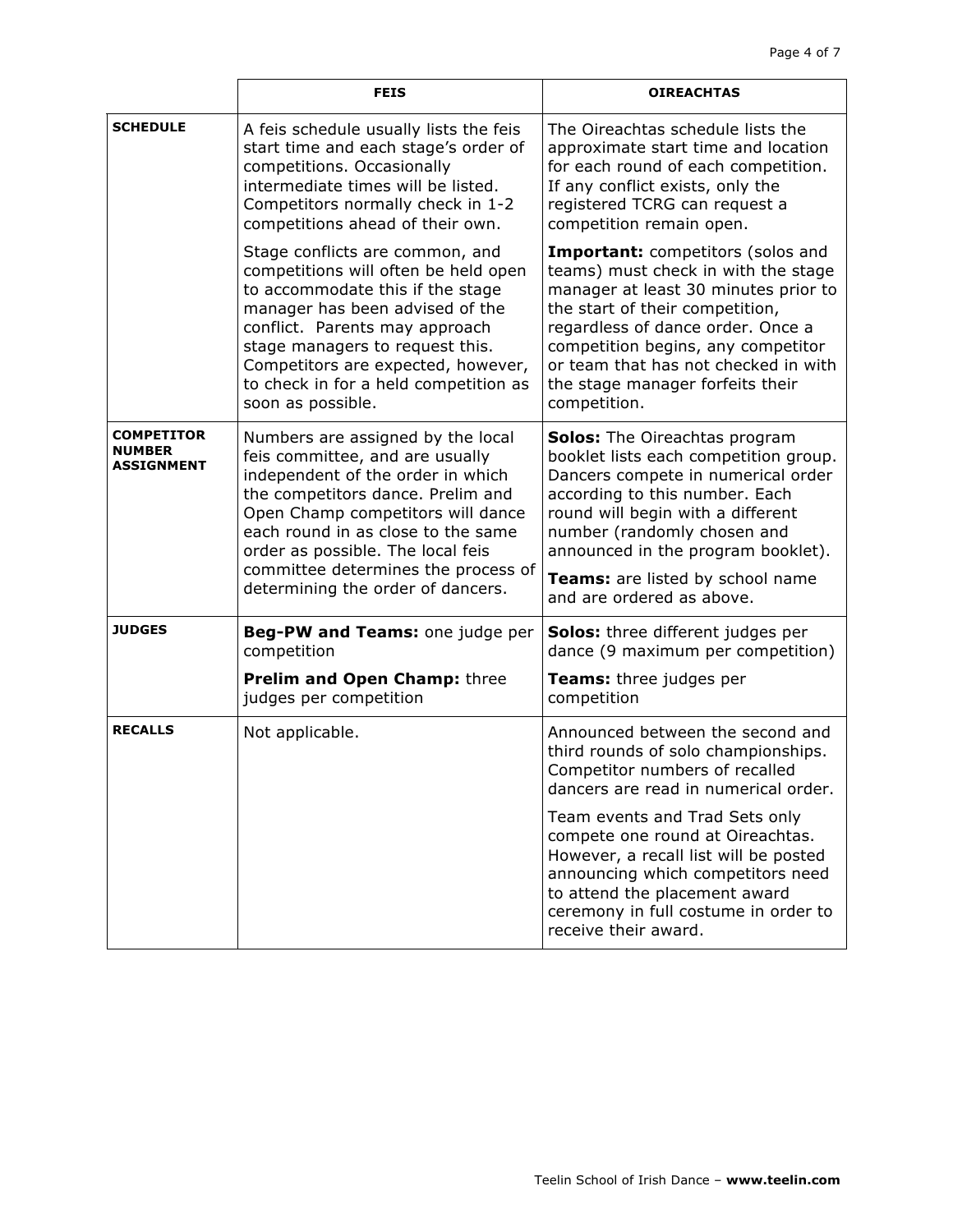|                                                  | <b>FEIS</b>                                                                                                                                                                                                                                                                                                                                | <b>OIREACHTAS</b>                                                                                                                                                                                                                                                                                                                      |
|--------------------------------------------------|--------------------------------------------------------------------------------------------------------------------------------------------------------------------------------------------------------------------------------------------------------------------------------------------------------------------------------------------|----------------------------------------------------------------------------------------------------------------------------------------------------------------------------------------------------------------------------------------------------------------------------------------------------------------------------------------|
| <b>SCHEDULE</b>                                  | A feis schedule usually lists the feis<br>start time and each stage's order of<br>competitions. Occasionally<br>intermediate times will be listed.<br>Competitors normally check in 1-2<br>competitions ahead of their own.                                                                                                                | The Oireachtas schedule lists the<br>approximate start time and location<br>for each round of each competition.<br>If any conflict exists, only the<br>registered TCRG can request a<br>competition remain open.                                                                                                                       |
|                                                  | Stage conflicts are common, and<br>competitions will often be held open<br>to accommodate this if the stage<br>manager has been advised of the<br>conflict. Parents may approach<br>stage managers to request this.<br>Competitors are expected, however,<br>to check in for a held competition as<br>soon as possible.                    | <b>Important:</b> competitors (solos and<br>teams) must check in with the stage<br>manager at least 30 minutes prior to<br>the start of their competition,<br>regardless of dance order. Once a<br>competition begins, any competitor<br>or team that has not checked in with<br>the stage manager forfeits their<br>competition.      |
| <b>COMPETITOR</b><br><b>NUMBER</b><br>ASSIGNMENT | Numbers are assigned by the local<br>feis committee, and are usually<br>independent of the order in which<br>the competitors dance. Prelim and<br>Open Champ competitors will dance<br>each round in as close to the same<br>order as possible. The local feis<br>committee determines the process of<br>determining the order of dancers. | <b>Solos:</b> The Oireachtas program<br>booklet lists each competition group.<br>Dancers compete in numerical order<br>according to this number. Each<br>round will begin with a different<br>number (randomly chosen and<br>announced in the program booklet).<br>Teams: are listed by school name<br>and are ordered as above.       |
| <b>JUDGES</b>                                    | Beg-PW and Teams: one judge per<br>competition<br>Prelim and Open Champ: three<br>judges per competition                                                                                                                                                                                                                                   | <b>Solos:</b> three different judges per<br>dance (9 maximum per competition)<br>Teams: three judges per<br>competition                                                                                                                                                                                                                |
| <b>RECALLS</b>                                   | Not applicable.                                                                                                                                                                                                                                                                                                                            | Announced between the second and<br>third rounds of solo championships.<br>Competitor numbers of recalled<br>dancers are read in numerical order.<br>Team events and Trad Sets only<br>compete one round at Oireachtas.<br>However, a recall list will be posted<br>announcing which competitors need<br>to attend the placement award |
|                                                  |                                                                                                                                                                                                                                                                                                                                            | ceremony in full costume in order to<br>receive their award.                                                                                                                                                                                                                                                                           |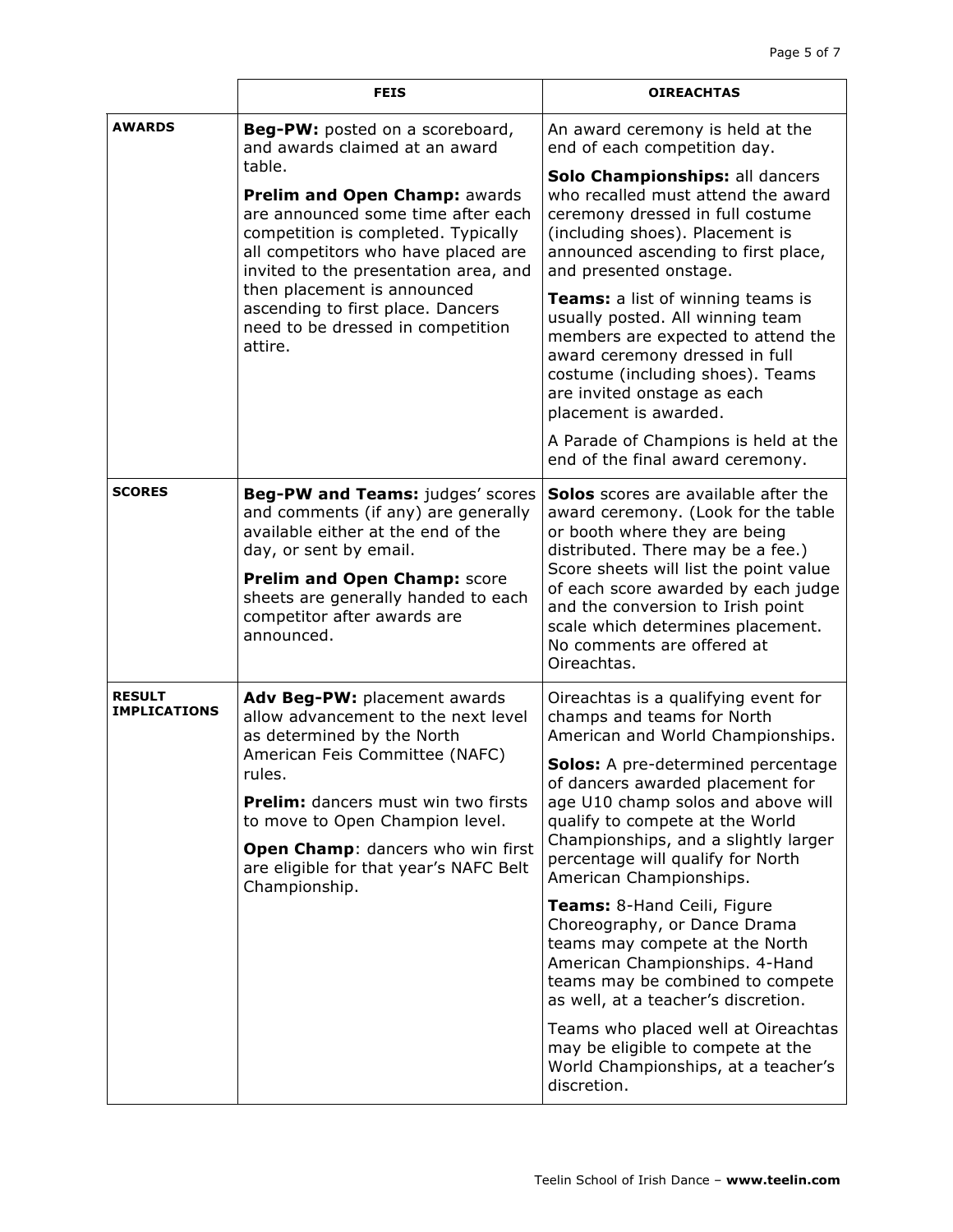|                                      | <b>FEIS</b>                                                                                                                                                                                                                                                                                                              | <b>OIREACHTAS</b>                                                                                                                                                                                                                                |
|--------------------------------------|--------------------------------------------------------------------------------------------------------------------------------------------------------------------------------------------------------------------------------------------------------------------------------------------------------------------------|--------------------------------------------------------------------------------------------------------------------------------------------------------------------------------------------------------------------------------------------------|
| <b>AWARDS</b>                        | <b>Beg-PW:</b> posted on a scoreboard,<br>and awards claimed at an award                                                                                                                                                                                                                                                 | An award ceremony is held at the<br>end of each competition day.                                                                                                                                                                                 |
|                                      | table.<br>Prelim and Open Champ: awards<br>are announced some time after each<br>competition is completed. Typically<br>all competitors who have placed are<br>invited to the presentation area, and<br>then placement is announced<br>ascending to first place. Dancers<br>need to be dressed in competition<br>attire. | Solo Championships: all dancers<br>who recalled must attend the award<br>ceremony dressed in full costume<br>(including shoes). Placement is<br>announced ascending to first place,<br>and presented onstage.                                    |
|                                      |                                                                                                                                                                                                                                                                                                                          | <b>Teams:</b> a list of winning teams is<br>usually posted. All winning team<br>members are expected to attend the<br>award ceremony dressed in full<br>costume (including shoes). Teams<br>are invited onstage as each<br>placement is awarded. |
|                                      |                                                                                                                                                                                                                                                                                                                          | A Parade of Champions is held at the<br>end of the final award ceremony.                                                                                                                                                                         |
| <b>SCORES</b>                        | Beg-PW and Teams: judges' scores<br>and comments (if any) are generally<br>available either at the end of the<br>day, or sent by email.                                                                                                                                                                                  | Solos scores are available after the<br>award ceremony. (Look for the table<br>or booth where they are being<br>distributed. There may be a fee.)                                                                                                |
|                                      | Prelim and Open Champ: score<br>sheets are generally handed to each<br>competitor after awards are<br>announced.                                                                                                                                                                                                         | Score sheets will list the point value<br>of each score awarded by each judge<br>and the conversion to Irish point<br>scale which determines placement.<br>No comments are offered at<br>Oireachtas.                                             |
| <b>RESULT</b><br><b>IMPLICATIONS</b> | Adv Beg-PW: placement awards<br>allow advancement to the next level<br>as determined by the North<br>American Feis Committee (NAFC)<br>rules.                                                                                                                                                                            | Oireachtas is a qualifying event for<br>champs and teams for North<br>American and World Championships.                                                                                                                                          |
|                                      |                                                                                                                                                                                                                                                                                                                          | <b>Solos:</b> A pre-determined percentage<br>of dancers awarded placement for                                                                                                                                                                    |
|                                      | <b>Prelim:</b> dancers must win two firsts<br>to move to Open Champion level.                                                                                                                                                                                                                                            | age U10 champ solos and above will<br>qualify to compete at the World<br>Championships, and a slightly larger<br>percentage will qualify for North<br>American Championships.                                                                    |
|                                      | Open Champ: dancers who win first<br>are eligible for that year's NAFC Belt<br>Championship.                                                                                                                                                                                                                             |                                                                                                                                                                                                                                                  |
|                                      |                                                                                                                                                                                                                                                                                                                          | Teams: 8-Hand Ceili, Figure<br>Choreography, or Dance Drama<br>teams may compete at the North<br>American Championships. 4-Hand<br>teams may be combined to compete<br>as well, at a teacher's discretion.                                       |
|                                      |                                                                                                                                                                                                                                                                                                                          | Teams who placed well at Oireachtas<br>may be eligible to compete at the<br>World Championships, at a teacher's<br>discretion.                                                                                                                   |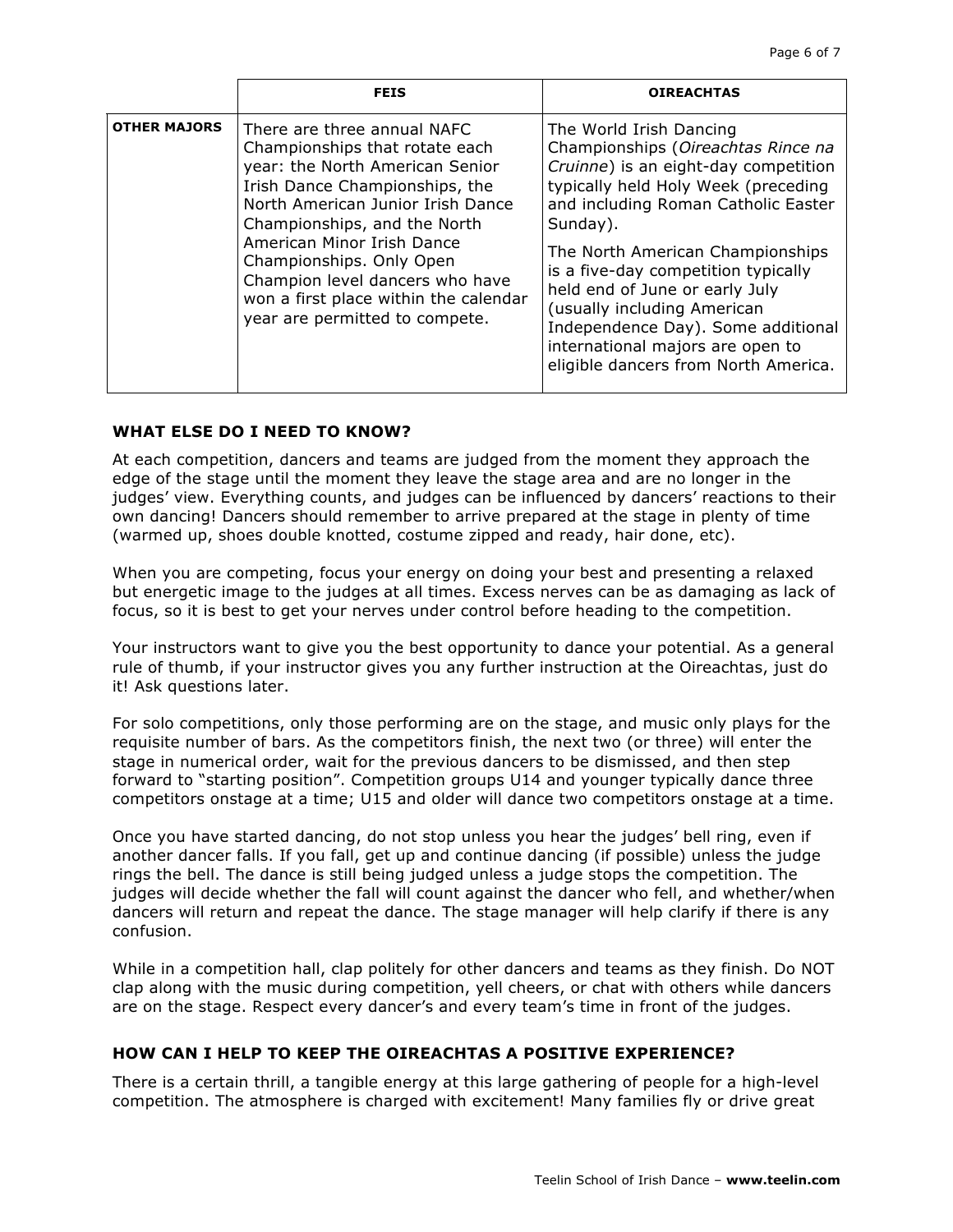|                     | <b>FEIS</b>                                                                                                                                                                                                                                                                                                                                                                     | <b>OIREACHTAS</b>                                                                                                                                                                                                                                                                                                                                                                                                                                             |
|---------------------|---------------------------------------------------------------------------------------------------------------------------------------------------------------------------------------------------------------------------------------------------------------------------------------------------------------------------------------------------------------------------------|---------------------------------------------------------------------------------------------------------------------------------------------------------------------------------------------------------------------------------------------------------------------------------------------------------------------------------------------------------------------------------------------------------------------------------------------------------------|
| <b>OTHER MAJORS</b> | There are three annual NAFC<br>Championships that rotate each<br>year: the North American Senior<br>Irish Dance Championships, the<br>North American Junior Irish Dance<br>Championships, and the North<br>American Minor Irish Dance<br>Championships. Only Open<br>Champion level dancers who have<br>won a first place within the calendar<br>year are permitted to compete. | The World Irish Dancing<br>Championships (Oireachtas Rince na<br>Cruinne) is an eight-day competition<br>typically held Holy Week (preceding<br>and including Roman Catholic Easter<br>Sunday).<br>The North American Championships<br>is a five-day competition typically<br>held end of June or early July<br>(usually including American<br>Independence Day). Some additional<br>international majors are open to<br>eligible dancers from North America. |

#### **WHAT ELSE DO I NEED TO KNOW?**

At each competition, dancers and teams are judged from the moment they approach the edge of the stage until the moment they leave the stage area and are no longer in the judges' view. Everything counts, and judges can be influenced by dancers' reactions to their own dancing! Dancers should remember to arrive prepared at the stage in plenty of time (warmed up, shoes double knotted, costume zipped and ready, hair done, etc).

When you are competing, focus your energy on doing your best and presenting a relaxed but energetic image to the judges at all times. Excess nerves can be as damaging as lack of focus, so it is best to get your nerves under control before heading to the competition.

Your instructors want to give you the best opportunity to dance your potential. As a general rule of thumb, if your instructor gives you any further instruction at the Oireachtas, just do it! Ask questions later.

For solo competitions, only those performing are on the stage, and music only plays for the requisite number of bars. As the competitors finish, the next two (or three) will enter the stage in numerical order, wait for the previous dancers to be dismissed, and then step forward to "starting position". Competition groups U14 and younger typically dance three competitors onstage at a time; U15 and older will dance two competitors onstage at a time.

Once you have started dancing, do not stop unless you hear the judges' bell ring, even if another dancer falls. If you fall, get up and continue dancing (if possible) unless the judge rings the bell. The dance is still being judged unless a judge stops the competition. The judges will decide whether the fall will count against the dancer who fell, and whether/when dancers will return and repeat the dance. The stage manager will help clarify if there is any confusion.

While in a competition hall, clap politely for other dancers and teams as they finish. Do NOT clap along with the music during competition, yell cheers, or chat with others while dancers are on the stage. Respect every dancer's and every team's time in front of the judges.

#### **HOW CAN I HELP TO KEEP THE OIREACHTAS A POSITIVE EXPERIENCE?**

There is a certain thrill, a tangible energy at this large gathering of people for a high-level competition. The atmosphere is charged with excitement! Many families fly or drive great